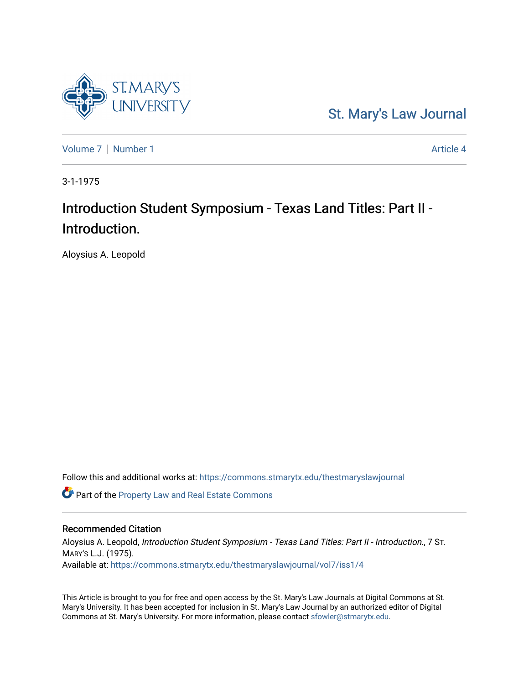

[St. Mary's Law Journal](https://commons.stmarytx.edu/thestmaryslawjournal) 

[Volume 7](https://commons.stmarytx.edu/thestmaryslawjournal/vol7) | [Number 1](https://commons.stmarytx.edu/thestmaryslawjournal/vol7/iss1) Article 4

3-1-1975

# Introduction Student Symposium - Texas Land Titles: Part II - Introduction.

Aloysius A. Leopold

Follow this and additional works at: [https://commons.stmarytx.edu/thestmaryslawjournal](https://commons.stmarytx.edu/thestmaryslawjournal?utm_source=commons.stmarytx.edu%2Fthestmaryslawjournal%2Fvol7%2Fiss1%2F4&utm_medium=PDF&utm_campaign=PDFCoverPages) 

**C** Part of the Property Law and Real Estate Commons

### Recommended Citation

Aloysius A. Leopold, Introduction Student Symposium - Texas Land Titles: Part II - Introduction., 7 ST. MARY'S L.J. (1975). Available at: [https://commons.stmarytx.edu/thestmaryslawjournal/vol7/iss1/4](https://commons.stmarytx.edu/thestmaryslawjournal/vol7/iss1/4?utm_source=commons.stmarytx.edu%2Fthestmaryslawjournal%2Fvol7%2Fiss1%2F4&utm_medium=PDF&utm_campaign=PDFCoverPages) 

This Article is brought to you for free and open access by the St. Mary's Law Journals at Digital Commons at St. Mary's University. It has been accepted for inclusion in St. Mary's Law Journal by an authorized editor of Digital Commons at St. Mary's University. For more information, please contact [sfowler@stmarytx.edu](mailto:sfowler@stmarytx.edu).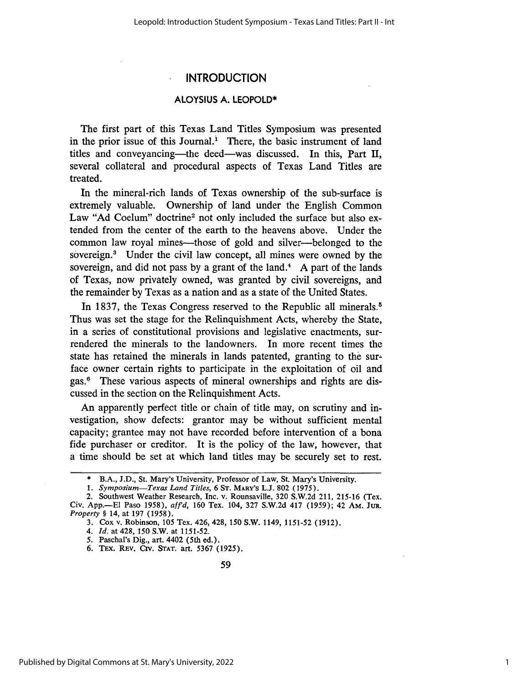# **INTRODUCTION**

#### **ALOYSIUS A. LEOPOLD\***

The first part of this Texas Land Titles Symposium was presented in the prior issue of this Journal.<sup>1</sup> There, the basic instrument of land titles and conveyancing-the deed-was discussed. In this, Part **I,** several collateral and procedural aspects of Texas Land Titles are treated.

In the mineral-rich lands of Texas ownership of the sub-surface is extremely valuable. Ownership of land under the English Common Law "Ad Coelum" doctrine<sup>2</sup> not only included the surface but also extended from the center of the earth to the heavens above. Under the common law royal mines—those of gold and silver—belonged to the sovereign.' Under the civil law concept, all mines were owned by the sovereign, and did not pass by a grant of the land.<sup>4</sup> A part of the lands of Texas, now privately owned, was granted by civil sovereigns, and the remainder by Texas as a nation and as a state of the United States.

In 1837, the Texas Congress reserved to the Republic all minerals.<sup>5</sup> Thus was set the stage for the Relinquishment Acts, whereby the State, in a series of constitutional provisions and legislative enactments, surrendered the minerals to the landowners. In more recent times the state has retained the minerals in lands patented, granting to the surface owner certain rights to participate in the exploitation of oil and gas." These various aspects of mineral ownerships and rights are discussed in the section on the Relinquishment Acts.

An apparently perfect title or chain of title may, on scrutiny and investigation, show defects: grantor may be without sufficient mental capacity; grantee may not have recorded before intervention of a bona fide purchaser or creditor. It is the policy of the law, however, that a time should be set at which land titles may be securely set to rest.

6. TEX. REV. CIV. STAT. art. 5367 (1925).

B.A., J.D., St. Mary's University, Professor of Law, St. Mary's University.

*<sup>1.</sup> Symposium-Texas Land Titles,* 6 ST. MARY'S L.J. 802 (1975).

<sup>2.</sup> Southwest Weather Research, Inc. v. Rounsaville, 320 S.W.2d 211, 215-16 (Tex. Civ. App.-E1 Paso 1958), *aff'd,* 160 Tex. 104, 327 S.W.2d 417 (1959); 42 AM. **JUR.** *Property §* 14, at 197 (1958).

<sup>3.</sup> Cox v. Robinson, 105 Tex. 426, 428, 150 S.W. 1149, 1151-52 (1912).

*<sup>4.</sup> Id.* at 428, 150 S.W. at 1151-52.

<sup>5.</sup> Paschal's Dig., art. 4402 (5th ed.).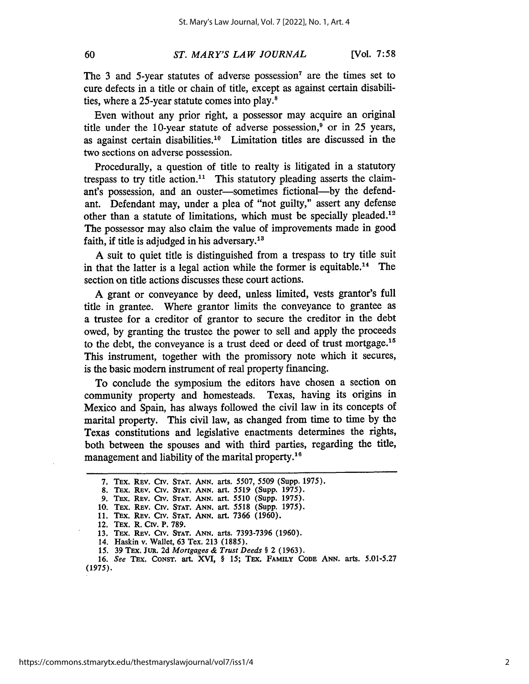#### *ST. MARY'S LAW JOURNAL*

The 3 and 5-year statutes of adverse possession<sup>7</sup> are the times set to cure defects in a title or chain of title, except as against certain disabilities, where a 25-year statute comes into play. $8$ 

Even without any prior right, a possessor may acquire an original title under the 10-year statute of adverse possession, $9$  or in 25 years, as against certain disabilities.<sup>10</sup> Limitation titles are discussed in the two sections on adverse possession.

Procedurally, a question of title to realty is litigated in a statutory trespass to try title action.<sup>11</sup> This statutory pleading asserts the claimant's possession, and an ouster-sometimes fictional--by the defendant. Defendant may, under a plea of "not guilty," assert any defense other than a statute of limitations, which must be specially pleaded.<sup>12</sup> The possessor may also claim the value of improvements made in good faith, if title is adjudged in his adversary.<sup>13</sup>

A suit to quiet title is distinguished from a trespass to try title suit in that the latter is a legal action while the former is equitable.<sup>14</sup> The section on title actions discusses these court actions.

A grant or conveyance by deed, unless limited, vests grantor's full title in grantee. Where grantor limits the conveyance to grantee as a trustee for a creditor of grantor to secure the creditor in the debt owed, by granting the trustee the power to sell and apply the proceeds to the debt, the conveyance is a trust deed or deed of trust mortgage.<sup>15</sup> This instrument, together with the promissory note which it secures, is the basic modem instrument of real property financing.

To conclude the symposium the editors have chosen a section on community property and homesteads. Texas, having its origins in Mexico and Spain, has always followed the civil law in its concepts of marital property. This civil law, as changed from time to time by the Texas constitutions and legislative enactments determines the rights, both between the spouses and with third parties, regarding the title, management and liability of the marital property.<sup>16</sup>

**16.** *See* **Tax.** CONST. art. XVI, **§** 15; **TEx. FAMILY CODE ANN. arts.** 5.01-5.27 (1975).

**<sup>7.</sup> TEx.** REV. Crv. **STAT. ANN.** arts. 5507, **5509** (Supp. **1975).**

**<sup>8.</sup> TEx. REv. Civ. STAT. ANN.** art. **5519, (Supp. 1975).**

**<sup>9.</sup>** TEx. **REV. Crv. STAT. ANN. art. 5510 (Supp.** 1975).

**<sup>10.</sup>** TEx. REv. Cirv. **STAT. ANN.** art. **5518** (Supp. 1975).

**<sup>11.</sup>** TEx. REv. **Civ. STAT. ANN.** art. **7366 (1960).**

<sup>12.</sup> TEx. R. **Cirv.** P. **789.**

**<sup>13.</sup>** TEx. REV. **Civ. STAT.** *ANN.* arts. **7393-7396 (1960).**

<sup>14.</sup> Haskin **v.** Wallet, **63** Tex. **213** (1885).

*<sup>15.</sup>* **39 TEx. JuR. 2d** *Mortgages & Trust Deeds* **§** 2 **(1963).**